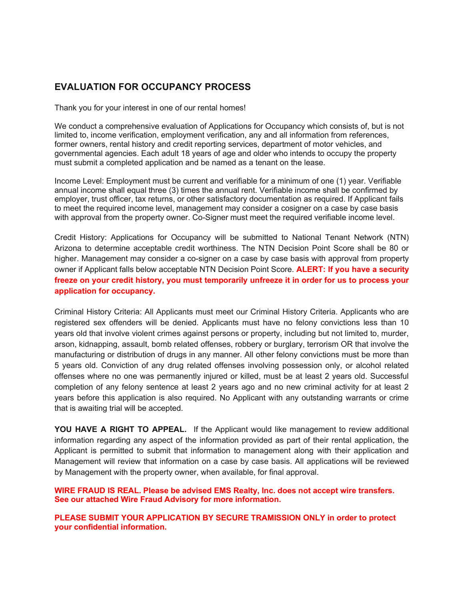# EVALUATION FOR OCCUPANCY PROCESS

Thank you for your interest in one of our rental homes!

We conduct a comprehensive evaluation of Applications for Occupancy which consists of, but is not limited to, income verification, employment verification, any and all information from references, former owners, rental history and credit reporting services, department of motor vehicles, and governmental agencies. Each adult 18 years of age and older who intends to occupy the property must submit a completed application and be named as a tenant on the lease.

Income Level: Employment must be current and verifiable for a minimum of one (1) year. Verifiable annual income shall equal three (3) times the annual rent. Verifiable income shall be confirmed by employer, trust officer, tax returns, or other satisfactory documentation as required. If Applicant fails to meet the required income level, management may consider a cosigner on a case by case basis with approval from the property owner. Co-Signer must meet the required verifiable income level.

Credit History: Applications for Occupancy will be submitted to National Tenant Network (NTN) Arizona to determine acceptable credit worthiness. The NTN Decision Point Score shall be 80 or higher. Management may consider a co-signer on a case by case basis with approval from property owner if Applicant falls below acceptable NTN Decision Point Score. **ALERT: If you have a security** freeze on your credit history, you must temporarily unfreeze it in order for us to process your application for occupancy.

Criminal History Criteria: All Applicants must meet our Criminal History Criteria. Applicants who are registered sex offenders will be denied. Applicants must have no felony convictions less than 10 years old that involve violent crimes against persons or property, including but not limited to, murder, arson, kidnapping, assault, bomb related offenses, robbery or burglary, terrorism OR that involve the manufacturing or distribution of drugs in any manner. All other felony convictions must be more than 5 years old. Conviction of any drug related offenses involving possession only, or alcohol related offenses where no one was permanently injured or killed, must be at least 2 years old. Successful completion of any felony sentence at least 2 years ago and no new criminal activity for at least 2 years before this application is also required. No Applicant with any outstanding warrants or crime that is awaiting trial will be accepted.

YOU HAVE A RIGHT TO APPEAL. If the Applicant would like management to review additional information regarding any aspect of the information provided as part of their rental application, the Applicant is permitted to submit that information to management along with their application and Management will review that information on a case by case basis. All applications will be reviewed by Management with the property owner, when available, for final approval.

WIRE FRAUD IS REAL. Please be advised EMS Realty, Inc. does not accept wire transfers. See our attached Wire Fraud Advisory for more information.

PLEASE SUBMIT YOUR APPLICATION BY SECURE TRAMISSION ONLY in order to protect your confidential information.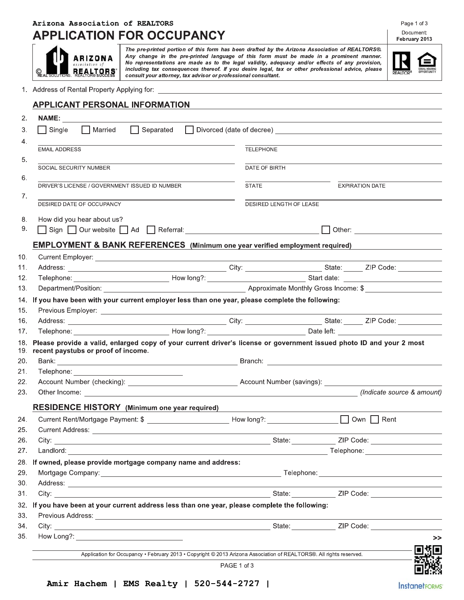# Arizona Association of REALTORS **APPLICATION FOR OCCUPANCY**

**ARIZONA** REAL TORS.

The pre-printed portion of this form has been drafted by the Arizona Association of REALTORS®. Any change in the pre-printed language of this form must be made in a prominent manner. No representations are made as to the legal validity, adequacy and/or effects of any provision, including tax consequences thereof. If you desire legal, tax or other professional advice, please consult your attorney, tax advisor or professional consultant.



1. Address of Rental Property Applying for:

| NAME: __ <del>______________________________</del>                                                                                                                                                                                  |  |                                                                                                                     |  |                        |                                  |      |
|-------------------------------------------------------------------------------------------------------------------------------------------------------------------------------------------------------------------------------------|--|---------------------------------------------------------------------------------------------------------------------|--|------------------------|----------------------------------|------|
| Single Married Separated Divorced (date of decree) _____________________________                                                                                                                                                    |  |                                                                                                                     |  |                        |                                  |      |
|                                                                                                                                                                                                                                     |  |                                                                                                                     |  |                        |                                  |      |
| <b>EMAIL ADDRESS</b>                                                                                                                                                                                                                |  | TELEPHONE                                                                                                           |  |                        |                                  |      |
| SOCIAL SECURITY NUMBER                                                                                                                                                                                                              |  | DATE OF BIRTH                                                                                                       |  |                        |                                  |      |
|                                                                                                                                                                                                                                     |  |                                                                                                                     |  |                        |                                  |      |
| DRIVER'S LICENSE / GOVERNMENT ISSUED ID NUMBER                                                                                                                                                                                      |  | STATE                                                                                                               |  | <b>EXPIRATION DATE</b> |                                  |      |
| DESIRED DATE OF OCCUPANCY                                                                                                                                                                                                           |  | DESIRED LENGTH OF LEASE                                                                                             |  |                        |                                  |      |
| How did you hear about us?                                                                                                                                                                                                          |  |                                                                                                                     |  |                        |                                  |      |
|                                                                                                                                                                                                                                     |  |                                                                                                                     |  |                        |                                  |      |
|                                                                                                                                                                                                                                     |  |                                                                                                                     |  |                        |                                  |      |
| <b>EMPLOYMENT &amp; BANK REFERENCES</b> (Minimum one year verified employment required)                                                                                                                                             |  |                                                                                                                     |  |                        |                                  |      |
|                                                                                                                                                                                                                                     |  |                                                                                                                     |  |                        |                                  |      |
| Address: Zip Code: 21P Code: 21P Code: 21P Code: 21P Code: 21P Code: 21P Code: 21P Code: 21P Code: 21P Code: 21P Code: 21P Code: 21P Code: 21P Code: 21P Code: 21P Code: 21P Code: 21P Code: 21P Code: 21P Code: 21P Code: 21P      |  |                                                                                                                     |  |                        |                                  |      |
|                                                                                                                                                                                                                                     |  |                                                                                                                     |  |                        |                                  |      |
| 14. If you have been with your current employer less than one year, please complete the following:                                                                                                                                  |  |                                                                                                                     |  |                        |                                  |      |
|                                                                                                                                                                                                                                     |  |                                                                                                                     |  |                        |                                  |      |
|                                                                                                                                                                                                                                     |  |                                                                                                                     |  |                        |                                  |      |
|                                                                                                                                                                                                                                     |  |                                                                                                                     |  |                        |                                  |      |
|                                                                                                                                                                                                                                     |  |                                                                                                                     |  |                        |                                  |      |
| Please provide a valid, enlarged copy of your current driver's license or government issued photo ID and your 2 most<br>18. .<br>recent paystubs or proof of income.<br>19. .                                                       |  |                                                                                                                     |  |                        |                                  |      |
|                                                                                                                                                                                                                                     |  |                                                                                                                     |  |                        |                                  |      |
| Telephone: ____________                                                                                                                                                                                                             |  |                                                                                                                     |  |                        |                                  |      |
|                                                                                                                                                                                                                                     |  |                                                                                                                     |  |                        |                                  |      |
|                                                                                                                                                                                                                                     |  |                                                                                                                     |  |                        | (Indicate source & amount)       |      |
| <b>RESIDENCE HISTORY</b> (Minimum one year required)                                                                                                                                                                                |  |                                                                                                                     |  |                        |                                  |      |
|                                                                                                                                                                                                                                     |  |                                                                                                                     |  |                        |                                  |      |
| Current Rent/Mortgage Payment: \$ ____________________________How long?: ___________________________ Own □ Rent                                                                                                                     |  |                                                                                                                     |  |                        |                                  |      |
| Current Address: <u>Campion and Communication</u><br>26.<br>City:                                                                                                                                                                   |  |                                                                                                                     |  |                        |                                  |      |
|                                                                                                                                                                                                                                     |  |                                                                                                                     |  |                        | ZIP Code: ____________________   |      |
| 28. If owned, please provide mortgage company name and address:                                                                                                                                                                     |  |                                                                                                                     |  |                        | Telephone: _____________________ |      |
|                                                                                                                                                                                                                                     |  |                                                                                                                     |  |                        |                                  |      |
|                                                                                                                                                                                                                                     |  |                                                                                                                     |  |                        |                                  |      |
| Address: <u>Address:</u> Address: Address: Address: Address: Address: Address: Address: Address: Address: Address: Address: Address: Address: Address: Address: Address: Address: Address: Address: Address: Address: Address: Addr |  |                                                                                                                     |  |                        |                                  |      |
| If you have been at your current address less than one year, please complete the following:<br>32.                                                                                                                                  |  |                                                                                                                     |  |                        |                                  |      |
|                                                                                                                                                                                                                                     |  |                                                                                                                     |  |                        |                                  |      |
|                                                                                                                                                                                                                                     |  |                                                                                                                     |  |                        |                                  |      |
|                                                                                                                                                                                                                                     |  |                                                                                                                     |  |                        |                                  | >>   |
|                                                                                                                                                                                                                                     |  | Application for Occupancy • February 2013 • Copyright @ 2013 Arizona Association of REALTORS®. All rights reserved. |  |                        |                                  | D SE |

Document: February 2013

Page 1 of 3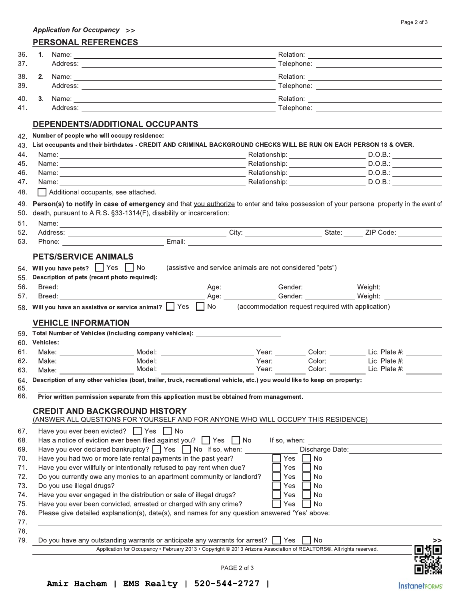|     |  | Application for Occupancy >>                                                                                                                                                                                                   |  |                                                           |                                                                                                                                        |  |  |  |
|-----|--|--------------------------------------------------------------------------------------------------------------------------------------------------------------------------------------------------------------------------------|--|-----------------------------------------------------------|----------------------------------------------------------------------------------------------------------------------------------------|--|--|--|
|     |  | <b>PERSONAL REFERENCES</b>                                                                                                                                                                                                     |  |                                                           |                                                                                                                                        |  |  |  |
| 36. |  | 1. Name: 1. 2008.                                                                                                                                                                                                              |  |                                                           |                                                                                                                                        |  |  |  |
| 37. |  |                                                                                                                                                                                                                                |  |                                                           |                                                                                                                                        |  |  |  |
| 38. |  |                                                                                                                                                                                                                                |  |                                                           |                                                                                                                                        |  |  |  |
| 39. |  |                                                                                                                                                                                                                                |  |                                                           |                                                                                                                                        |  |  |  |
| 40. |  |                                                                                                                                                                                                                                |  |                                                           |                                                                                                                                        |  |  |  |
| 41. |  |                                                                                                                                                                                                                                |  |                                                           |                                                                                                                                        |  |  |  |
|     |  | DEPENDENTS/ADDITIONAL OCCUPANTS                                                                                                                                                                                                |  |                                                           |                                                                                                                                        |  |  |  |
| 42. |  |                                                                                                                                                                                                                                |  |                                                           |                                                                                                                                        |  |  |  |
| 43. |  | List occupants and their birthdates - CREDIT AND CRIMINAL BACKGROUND CHECKS WILL BE RUN ON EACH PERSON 18 & OVER.                                                                                                              |  |                                                           |                                                                                                                                        |  |  |  |
| 44. |  |                                                                                                                                                                                                                                |  | Relationship: _______________________                     | D.O.B.:                                                                                                                                |  |  |  |
| 45. |  |                                                                                                                                                                                                                                |  |                                                           | Relationship: D.O.B.: D.O.B.:                                                                                                          |  |  |  |
| 46. |  |                                                                                                                                                                                                                                |  |                                                           |                                                                                                                                        |  |  |  |
| 47. |  | Name: Name: 2008. The Contract of the Contract of the Contract of the Contract of the Contract of the Contract of the Contract of the Contract of the Contract of the Contract of the Contract of the Contract of the Contract |  |                                                           |                                                                                                                                        |  |  |  |
| 48. |  | Additional occupants, see attached.                                                                                                                                                                                            |  |                                                           |                                                                                                                                        |  |  |  |
| 49. |  |                                                                                                                                                                                                                                |  |                                                           | Person(s) to notify in case of emergency and that you authorize to enter and take possession of your personal property in the event of |  |  |  |
| 50. |  | death, pursuant to A.R.S. §33-1314(F), disability or incarceration:                                                                                                                                                            |  |                                                           |                                                                                                                                        |  |  |  |
| 51. |  |                                                                                                                                                                                                                                |  |                                                           |                                                                                                                                        |  |  |  |
| 52. |  |                                                                                                                                                                                                                                |  |                                                           |                                                                                                                                        |  |  |  |
| 53. |  |                                                                                                                                                                                                                                |  |                                                           |                                                                                                                                        |  |  |  |
|     |  | <b>PETS/SERVICE ANIMALS</b>                                                                                                                                                                                                    |  |                                                           |                                                                                                                                        |  |  |  |
| 54. |  | Will you have pets? Yes No                                                                                                                                                                                                     |  | (assistive and service animals are not considered "pets") |                                                                                                                                        |  |  |  |
| 55. |  | Description of pets (recent photo required):                                                                                                                                                                                   |  |                                                           |                                                                                                                                        |  |  |  |
| 56. |  |                                                                                                                                                                                                                                |  |                                                           | Age: _________________Gender: ______________________Weight: ____________________                                                       |  |  |  |
| 57. |  | Breed: The Communication of the Communication of the Communication of the Communication of the Communication of the Communication of the Communication of the Communication of the Communication of the Communication of the C |  |                                                           | Age: Cender: Weight: Network of Weight:                                                                                                |  |  |  |
|     |  | 58. Will you have an assistive or service animal? Some Yes Sambook (accommodation request required with application)                                                                                                           |  |                                                           |                                                                                                                                        |  |  |  |

## **VEHICLE INFORMATION**

| 59.        |                           | Total Number of Vehicles (including company vehicles):                                                                    |              |                 |               |
|------------|---------------------------|---------------------------------------------------------------------------------------------------------------------------|--------------|-----------------|---------------|
| 60.        | <b>Vehicles:</b>          |                                                                                                                           |              |                 |               |
| 61.        | Make: _______________     | Model: ____________________                                                                                               | Year:        | Color:          | Lic. Plate #: |
| 62.        | Make: __________________  |                                                                                                                           | Year:        | Color:          | Lic. Plate #: |
| 63.        | Make:                     | Model:                                                                                                                    | Year:        | Color:          | Lic. Plate #: |
| 64.<br>65. |                           | Description of any other vehicles (boat, trailer, truck, recreational vehicle, etc.) you would like to keep on property:  |              |                 |               |
| 66.        |                           | Prior written permission separate from this application must be obtained from management.                                 |              |                 |               |
|            |                           | <b>CREDIT AND BACKGROUND HISTORY</b><br>(ANSWER ALL QUESTIONS FOR YOURSELF AND FOR ANYONE WHO WILL OCCUPY THIS RESIDENCE) |              |                 |               |
| 67.        |                           | Have you ever been evicted? $\Box$ Yes $\Box$ No                                                                          |              |                 |               |
| 68.        |                           | Has a notice of eviction ever been filed against you? $\Box$ Yes $\Box$ No                                                | If so, when: |                 |               |
| 69.        |                           | Have you ever declared bankruptcy? $\Box$ Yes $\Box$ No If so, when:                                                      |              | Discharge Date: |               |
| 70.        |                           | Have you had two or more late rental payments in the past year?                                                           | Yes          | No              |               |
| 71.        |                           | Have you ever willfully or intentionally refused to pay rent when due?                                                    | Yes          | No.             |               |
| 72.        |                           | Do you currently owe any monies to an apartment community or landlord?                                                    | Yes          | <b>No</b>       |               |
| 73.        | Do you use illegal drugs? |                                                                                                                           | Yes          | <b>No</b>       |               |
| 74.        |                           | Have you ever engaged in the distribution or sale of illegal drugs?                                                       | Yes          | No.             |               |
| 75.        |                           | Have you ever been convicted, arrested or charged with any crime?                                                         | Yes          | No              |               |
| 76.        |                           | Please give detailed explanation(s), date(s), and names for any question answered 'Yes' above:                            |              |                 |               |
| 77.        |                           |                                                                                                                           |              |                 |               |
| 78.        |                           |                                                                                                                           |              |                 |               |
| 79.        |                           | Do you have any outstanding warrants or anticipate any warrants for arrest? $\Box$                                        | Yes          | <b>No</b>       |               |
|            |                           | Application for Occupancy • February 2013 • Copyright © 2013 Arizona Association of REALTORS®. All rights reserved.       |              |                 | ngr           |



PAGE 2 of 3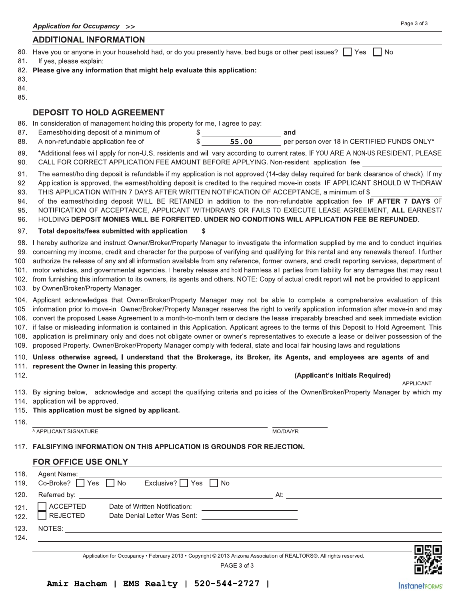#### **ADDITIONAL INFORMATION**

| 80. Have you or anyone in your household had, or do you presently have, bed bugs or other pest issues? T Yes T No |  |
|-------------------------------------------------------------------------------------------------------------------|--|
| 81. If yes, please explain:                                                                                       |  |

- 82. Please give any information that might help evaluate this application:
- 83.
- 84.
- 85.

#### **DEPOSIT TO HOLD AGREEMENT**

- 86. In consideration of management holding this property for me, I agree to pay:
- 87. Earnest/holding deposit of a minimum of \$ and 88. A non-refundable application fee of \$ 55.00 per person over 18 in CERTIFIED FUNDS ONLY\*
- 89. \*Additional fees will apply for non-U.S. residents and will vary according to current rates. IF YOU ARE A NON-US RESIDENT, PLEASE
- CALL FOR CORRECT APPLICATION FEE AMOUNT BEFORE APPLYING. Non-resident application fee 90.
- 91. The earnest/holding deposit is refundable if my application is not approved (14-day delay required for bank clearance of check). If my
- 92. Application is approved, the earnest/holding deposit is credited to the required move-in costs. IF APPLICANT SHOULD WITHDRAW 93. THIS APPLICATION WITHIN 7 DAYS AFTER WRITTEN NOTIFICATION OF ACCEPTANCE, a minimum of \$
- 94. of the earnest/holding deposit WILL BE RETAINED in addition to the non-refundable application fee. IF AFTER 7 DAYS OF
- NOTIFICATION OF ACCEPTANCE, APPLICANT WITHDRAWS OR FAILS TO EXECUTE LEASE AGREEMENT, ALL EARNEST/ 95.
- 96. HOLDING DEPOSIT MONIES WILL BE FORFEITED. UNDER NO CONDITIONS WILL APPLICATION FEE BE REFUNDED.

\$

- 97. Total deposits/fees submitted with application
- 98. I hereby authorize and instruct Owner/Broker/Property Manager to investigate the information supplied by me and to conduct inquiries 99. concerning my income, credit and character for the purpose of verifying and qualifying for this rental and any renewals thereof. I further 100. authorize the release of any and all information available from any reference, former owners, and credit reporting services, department of 101. motor vehicles, and governmental agencies. I hereby release and hold harmless all parties from liability for any damages that may result
- 102. from furnishing this information to its owners, its agents and others. NOTE: Copy of actual credit report will not be provided to applicant
- $103.$ by Owner/Broker/Property Manager.
- 104. Applicant acknowledges that Owner/Broker/Property Manager may not be able to complete a comprehensive evaluation of this 105. information prior to move-in. Owner/Broker/Property Manager reserves the right to verify application information after move-in and may 106. convert the proposed Lease Agreement to a month-to-month term or declare the lease irreparably breached and seek immediate eviction 107. If false or misleading information is contained in this Application. Applicant agrees to the terms of this Deposit to Hold Agreement. This 108. application is preliminary only and does not obligate owner or owner's representatives to execute a lease or deliver possession of the 109. proposed Property. Owner/Broker/Property Manager comply with federal, state and local fair housing laws and regulations.

#### 110. Unless otherwise agreed, I understand that the Brokerage, its Broker, its Agents, and employees are agents of and 111. represent the Owner in leasing this property.

112.

#### (Applicant's Initials Required)

**APPI ICANT** 

- 113. By signing below, I acknowledge and accept the qualifying criteria and policies of the Owner/Broker/Property Manager by which my 114. application will be approved.
- 115. This application must be signed by applicant.
- 116.
- **APPLICANT SIGNATURE**

MO/DA/YR

### 117. FALSIFYING INFORMATION ON THIS APPLICATION IS GROUNDS FOR REJECTION.

#### FOR OFFICE USE ONLY

| 118.             | Agent Name:                      |                                                               |     |     |
|------------------|----------------------------------|---------------------------------------------------------------|-----|-----|
| 119.             | $Co-Broke?$ $\Box$ Yes $\Box$ No | Exclusive? $\Box$ Yes $\Box$ No                               |     |     |
| 120.             | Referred by:                     |                                                               | At: |     |
| $121.$<br>$122.$ | ACCEPTED<br>$\Box$ REJECTED      | Date of Written Notification:<br>Date Denial Letter Was Sent: |     |     |
| 123.<br>124.     | NOTES:                           |                                                               |     |     |
|                  |                                  |                                                               |     | ara |

Application for Occupancy • February 2013 • Copyright @ 2013 Arizona Association of REALTORS®. All rights reserved.

PAGE 3 of 3